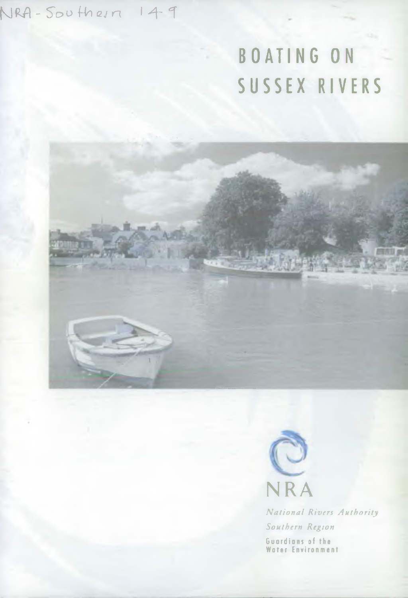$NRA - 500$  their 149

# BOATING ON SUSSEX RIVERS

**地震 中国人** 



*N a tio n a l Rivers A uthority Southern Region* Guardians of the Water Environment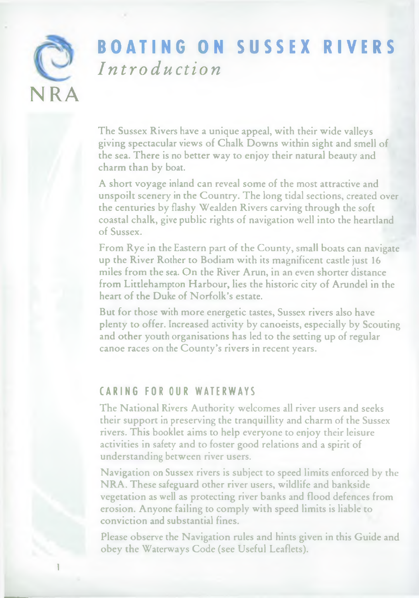

## BOATING ON SUSSEX RIVERS *I n t r o duct i on*

The Sussex Rivers have a unique appeal, with their wide valleys giving spectacular views of Chalk Downs within sight and smell of the sea. There is no better way to enjoy their natural beauty and charm than by boat.

A short voyage inland can reveal some of the most attractive and unspoilt scenery in the Country. The long tidal sections, created over the centuries by flashy Wealden Rivers carving through the soft coastal chalk, give public rights of navigation well into the heartland of Sussex.

From Rye in the Eastern part of the County, small boats can navigate up the River Rother to Bodiam with its magnificent castle just 16 miles from the sea. On the River Arun, in an even shorter distance from Littlehampton Harbour, lies the historic city of Arundel in the heart of the Duke of Norfolk's estate.

But for those with more energetic tastes, Sussex rivers also have plenty to offer. Increased activity by canoeists, especially by Scouting and other youth organisations has led to the setting up of regular canoe races on the County's rivers in recent years.

## CARING FOR OUR WATERWAYS

The National Rivers Authority welcomes all river users and seeks their support in preserving the tranquillity and charm of the Sussex rivers. This booklet aims to help everyone to enjoy their leisure activities in safety and to foster good relations and a spirit of understanding between river users.

Navigation on Sussex rivers is subject to speed limits enforced by the NRA. These safeguard other river users, wildlife and bankside vegetation as well as protecting river banks and flood defences from erosion. Anyone failing to comply with speed limits is liable to conviction and substantial fines.

Please observe the Navigation rules and hints given in this Guide and obey the Waterways Code (see Useful Leaflets).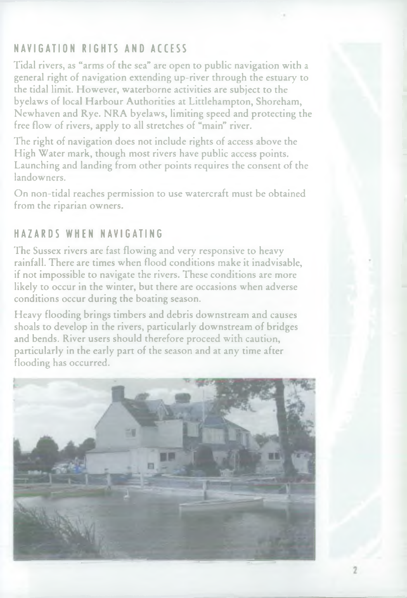## NAVIGATION RIGHTS AND ACCESS

Tidal rivers, as "arms of the sea" are open to public navigation with a general right of navigation extending up-river through the estuary to the tidal limit. However, waterborne activities are subject to the byelaws of local Harbour Authorities at Littlehampton, Shoreham, Newhaven and Rye. NRA byelaws, limiting speed and protecting the free flow of rivers, apply to all stretches of "main" river.

The right of navigation does not include rights of access above the High Water mark, though most rivers have public access points. Launching and landing from other points requires the consent of the landowners.

On non-tidal reaches permission to use watercraft must be obtained from the riparian owners.

## HAZARDS WHEN NAVIGATING

The Sussex rivers are fast flowing and very responsive to heavy rainfall. There are times when flood conditions make it inadvisable, if not impossible to navigate the rivers. These conditions are more likely to occur in the winter, but there are occasions when adverse conditions occur during the boating season.

Heavy flooding brings timbers and debris downstream and causes shoals to develop in the rivers, particularly downstream of bridges and bends. River users should therefore proceed with caution, particularly in the early part of the season and at any time after flooding has occurred.

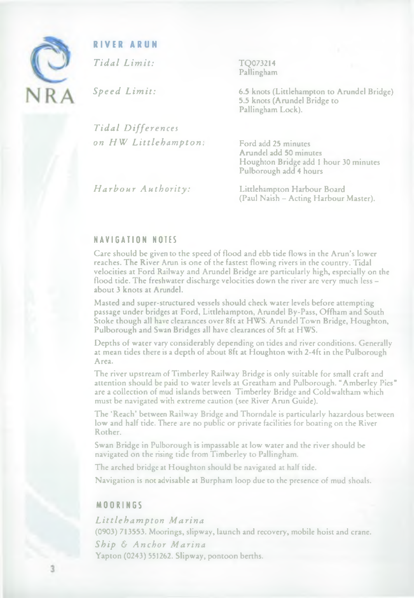

#### **RIVER ARUN**

*Tidal Limit:*

*Speed Limit:*

*Tidal Differences on HW Littlehampton:* TQ073214 Pallingham

6.5 knots (Littlehampton to Arundel Bridge) 5.5 knots (Arundel Bridge to Pallingham Lock).

Ford add 25 minutes Arundel add 50 minutes Houghton Bridge add 1 hour 30 minutes Pulborough add 4 hours

*Harbour Authority:*

Littlehampton Harbour Board (Paul Naish - Acting Harbour Master).

#### N A V I G A T I O N NOTES

Care should be given to the speed of flood and ebb tide flows in the Arun's lower reaches. The River Arun is one of the fastest flowing rivers in the country. Tidal velocities at Ford Railway and Arundel Bridge are particularly high, especially on the flood tide. The freshwater discharge velocities down the river are very much less about 3 knots at Arundel.

Masted and super-structured vessels should check water levels before attempting passage under bridges at Ford, Littlehampton, Arundel By-Pass, Offham and South Stoke though all have clearances over 8ft at HWS. Arundel Town Bridge, Houghton, Pulborough and Swan Bridges all have clearances of 5ft at HWS.

Depths of water vary considerably depending on tides and river conditions. Generally at mean tides there is a depth of about 8ft at Houghton with 2-4ft in the Pulborough Area.

The river upstream of Timberley Railway Bridge is only suitable for small craft and attention should be paid to water levels at Greatham and Pulborough. "Amberley Pies" are a collection of mud islands between Timberley Bridge and Coldwaltham which must be navigated with extreme caution (see River Arun Guide).

The 'Reach' between Railway Bridge and Thorndale is particularly hazardous between low and half tide. There are no public or private facilities for boating on the River Rother.

Swan Bridge in Pulborough is impassable at low water and the river should be navigated on the rising tide from Timberley to Pallingham.

The arched bridge at Houghton should be navigated at half tide.

Navigation is not advisable at Burpham loop due to the presence of mud shoals.

#### MOORINGS

*Littlehampton Marina* (0903) 713553. Moorings, slipway, launch and recovery, mobile hoist and crane. *Ship & Anchor Marina* Yapton (0243) 551262. Slipway, pontoon berths.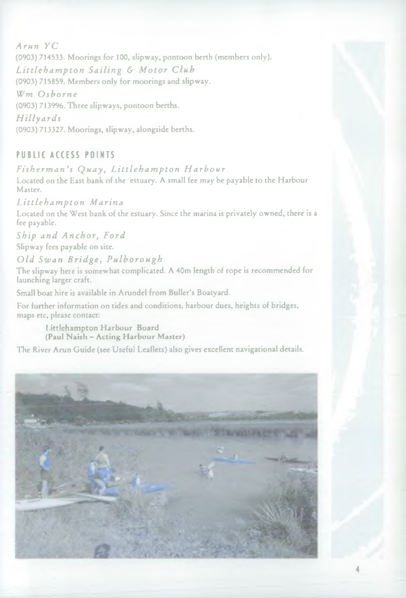*Arun YC* (0903) 714533. Moorings for 100, slipway, pontoon berth (members only). *Littlehampton Sailing & Motor Club* (0903) 715859. Members only for moorings and slipway. *Wm Osborne* (0903) 713996. Three slipways, pontoon berths. *Hilly ards* (0903) 713327. Moorings, slipway, alongside berths.

#### PUBLIC ACCESS POINTS

*Fisherman's Quay, Littlehampton Harbour* Located on the East bank of the estuary. A small fee may be payable to the Harbour Master.

*Littlehampton Marina* Located on the West bank of the estuary. Since the marina is privately owned, there is a fee payable.

*Ship and Anchor, Ford* Slipway fees payable on site.

*Old Swan Bridge, Pulborough*

The slipway here is somewhat complicated. A 40m length of rope is recommended for launching larger craft.

Small boat hire is available in Arundel from Buller's Boatyard.

For further information on tides and conditions, harbour dues, heights of bridges, maps etc, please contact:

Littlehampton Harbour Board (Paul Naish - Acting Harbour Master)

The River Arun Guide (see Useful Leaflets) also gives excellent navigational details.

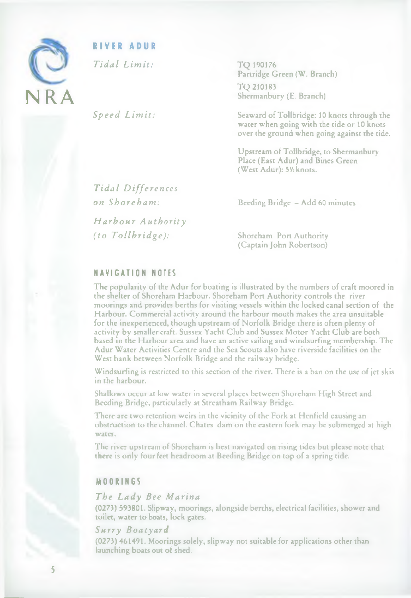

#### **RIVER ADUR**

*Tidal Limit:*

*Speed Limit:*

TQ 190176 Partridge Green (W. Branch)

TQ 210183 Shermanbury (E. Branch)

Seaward of Tollbridge: 10 knots through the water when going with the tide or 10 knots over the ground when going against the tide.

Upstream of Tollbridge, to Shermanbury Place (East Adur) and Bines Green (West Adur): 51/<sub>knots</sub>.

*Tidal Differences on Shoreham:*

*Harbour Authority (to Tollbridge):*

Beeding Bridge - Add 60 minutes

Shoreham Port Authority (Captain John Robertson)

#### N A V I G A T I O N NOTES

The popularity of the Adur for boating is illustrated by the numbers of craft moored in the shelter of Shoreham Harbour. Shoreham Port Authority controls the river moorings and provides berths for visiting vessels within the locked canal section of the Harbour. Commercial activity around the harbour mouth makes the area unsuitable for the inexperienced, though upstream of Norfolk Bridge there is often plenty of activity by smaller craft. Sussex Yacht Club and Sussex Motor Yacht Club are both based in the Harbour area and have an active sailing and windsurfing membership. The Adur Water Activities Centre and the Sea Scouts also have riverside facilities on the West bank between Norfolk Bridge and the railway bridge.

Windsurfing is restricted to this section of the river. There is a ban on the use of jet skis in the harbour.

Shallows occur at low water in several places between Shoreham High Street and Beeding Bridge, particularly at Streatham Railway Bridge.

There are two retention weirs in the vicinity of the Fork at Henfield causing an obstruction to the channel. Chates dam on the eastern fork may be submerged at high water.

The river upstream of Shoreham is best navigated on rising tides but please note that there is only four feet headroom at Beeding Bridge on top of a spring tide.

#### MOORINGS

#### *The Lady Bee Marina*

(0273) 593801. Slipway, moorings, alongside berths, electrical facilities, shower and toilet, water to boats, lock gates.

#### *Surry Boatyard*

(0273) 461491. Moorings solely, slipway not suitable for applications other than launching boats out of shed.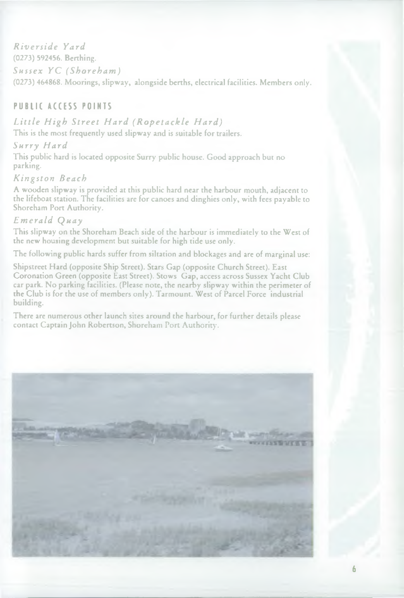*Riverside Yard* (0273) 592456. Berthing. *Sussex YC (Shoreham)* (0273) 464868. Moorings, slipway, alongside berths, electrical facilities. Members only.

#### PUBLIC ACCESS POINTS

*Little High Street Hard (Ropetackle Hard)* This is the most frequently used slipway and is suitable for trailers.

*Surry Hard*

This public hard is located opposite Surry public house. Good approach but no parking.

#### *Kingston Beach*

A wooden slipway is provided at this public hard near the harbour mouth, adjacent to the lifeboat station. The facilities are for canoes and dinghies only, with fees payable to Shoreham Port Authority.

#### *Emerald Quay*

This slipway on the Shoreham Beach side of the harbour is immediately to the West of the new housing development but suitable for high tide use only.

The following public hards suffer from siltation and blockages and are of marginal use:

Shipstreet Hard (opposite Ship Street). Stars Gap (opposite Church Street). East Coronation Green (opposite East Street). Stows Gap, access across Sussex Yacht Club car park. No parking facilities. (Please note, the nearby slipway within the perimeter of the Club is for the use of members only). Tarmount. West of Parcel Force industrial building.

There are numerous other launch sites around the harbour, for further details please contact Captain John Robertson, Shoreham Port Authority.

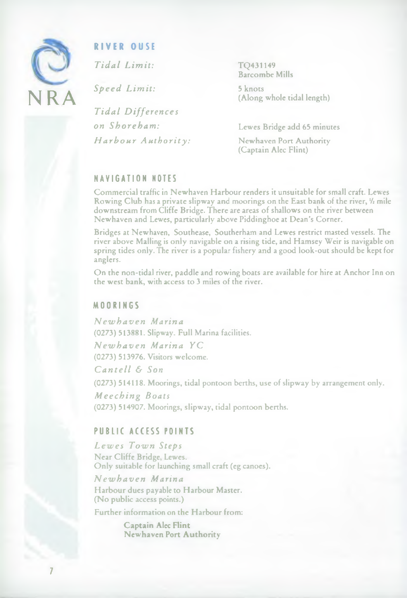

#### **R IVER OUSE**

*Tidal L imit:*

*Speed Limit:*

*Tidal Differences on Shoreham: Harbour Authority:* TQ431149 Barcombe Mills

5 knots (Along whole tidal length)

Lewes Bridge add 65 minutes

Newhaven Port Authority (Captain Alec Flint)

#### N A V I G A T I O N NOTES

Commercial traffic in Newhaven Harbour renders it unsuitable for small craft. Lewes Rowing Club has a private slipway and moorings on the East bank of the river, *'h* mile downstream from Cliffe Bridge. There are areas of shallows on the river between Newhaven and Lewes, particularly above Piddinghoe at Dean's Corner.

Bridges at Newhaven, Southease, Southerham and Lewes restrict masted vessels. The river above Mailing is only navigable on a rising tide, and Hamsey Weir is navigable on spring tides only. The river is a popular fishery and a good look-out should be kept for anglers.

On the non-tidal river, paddle and rowing boats are available for hire at Anchor Inn on the west bank, with access to 3 miles of the river.

#### MOORINGS

*Newhaven Marina* (0273) 513881. Slipway. Full Marina facilities. *Newhaven Marina YC*

(0273) 513976. Visitors welcome.

*Can te ll & Son*

(0273) 514118. Moorings, tidal pontoon berths, use of slipway by arrangement only.

*Meeching Boats* (0273) 514907. Moorings, slipway, tidal pontoon berths.

#### PUBLIC ACCESS POINTS

*Lewes Town Steps* Near Cliffe Bridge, Lewes. Only suitable for launching small craft (eg canoes).

*Newhaven Marina* Harbour dues payable to Harbour Master. (No public access points.)

Further information on the Harbour from:

Captain Alec Flint Newhaven Port Authority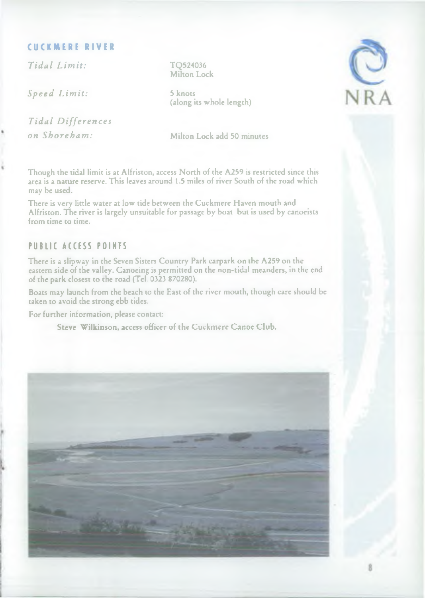#### **CUCKMERE RIVER**

*Tidal Limit:* TQ524036

*Speed Limit:* 5 knots

*Tidal Differences on Shoreham:* Milton Lock add 50 minutes

Milton Lock

(along its whole length)



Though the tidal limit is at Alfriston, access North of the A259 is restricted since this area is a nature reserve. This leaves around 1.5 miles of river South of the road which may be used.

There is very little water at low tide between the Cuckmere Haven mouth and Alfriston. The river is largely unsuitable for passage by boat but is used by canoeists from time to time.

#### PUBLIC ACCESS POINTS

There is a slipway in the Seven Sisters Country Park carpark on the A259 on the eastern side of the valley. Canoeing is permitted on the non-tidal meanders, in the end of the park closest to the road (Tel. 0323 870280).

Boats may launch from the beach to the East of the river mouth, though care should be taken to avoid the strong ebb tides.

For further information, please contact:

Steve Wilkinson, access officer of the Cuckmcre Canoe Club.

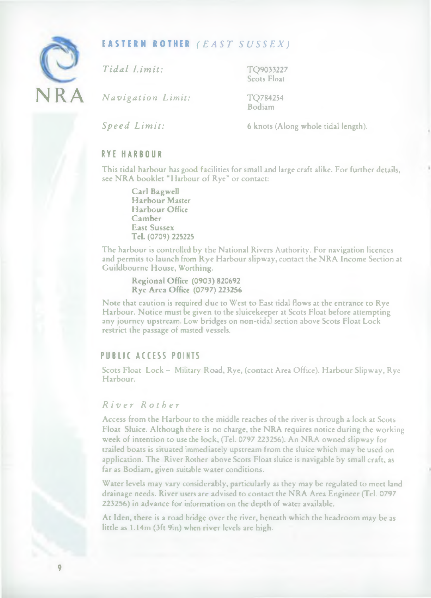

#### **EASTERN ROTHER** *(EAST SUSSEX)*

*Tidal Limit:* TQ9033227

Scots Float

*Navigation Limit:* TQ784254

Bodiam

*Speed Limit:* 6 knots (Along whole tidal length).

#### RYE HARBOUR

This tidal harbour has good facilities for small and large craft alike. For further details, see NRA booklet " Harbour of Rye" or contact:

> Carl Bagwell Harbour Master Harbour Office Camber East Sussex Tel. (0709) 225225

The harbour is controlled by the National Rivers Authority. For navigation licences and permits to launch from Rye Harbour slipway, contact the NRA Income Section at Guildbourne House, Worthing.

Regional Office (0903) 820692 Rye Area Office (0797) 223256

Note that caution is required due to West to East tidal flows at the entrance to Rye Harbour. Notice must be given to the sluicekeeper at Scots Float before attempting any journey upstream. Low bridges on non-tidal section above Scots Float Lock restrict the passage of masted vessels.

#### PUBLIC ACCESS POINTS

Scots Float Lock - Military Road, Rye, (contact Area Office). Harbour Slipway, Rye Harbour.

#### *R i v e r R o t h er*

Access from the Harbour to the middle reaches of the river is through a lock at Scots Float Sluice. Although there is no charge, the NRA requires notice during the working week of intention to use the lock, (Tel. 0797 223256). An NRA owned slipway for trailed boats is situated immediately upstream from the sluice which may be used on application. The River Rother above Scots Float sluice is navigable by small craft, as far as Bodiam, given suitable water conditions.

Water levels may vary considerably, particularly as they may be regulated to meet land drainage needs. River users are advised to contact the NRA Area Engineer (Tel. 0797 223256) in advance for information on the depth of water available.

At Iden, there is a road bridge over the river, beneath which the headroom may be as little as 1.14m (3ft 9in) when river levels are high.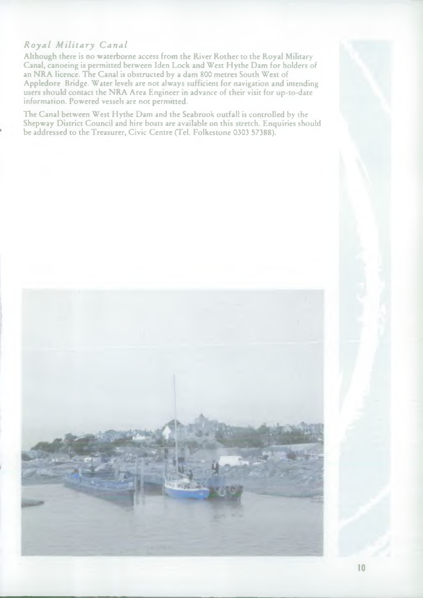#### *Royal Military Canal*

Although there is no waterborne access from the River Rother to the Royal Military Canal, canoeing is permitted between Iden Lock and West Hythe Dam for holders of an NRA licence. The Canal is obstructed by a dam 800 metres South West of Appledore Bridge. Water levels are not always sufficient for navigation and intending users should contact the NRA Area Engineer in advance of their visit for up-to-date information. Powered vessels are not permitted.

The Canal between West Hythe Dam and the Seabrook outfall is controlled by the Shepway District Council and hire boats are available on this stretch. Enquiries should be addressed to the Treasurer, Civic Centre (Tel. Folkestone 0303 57388).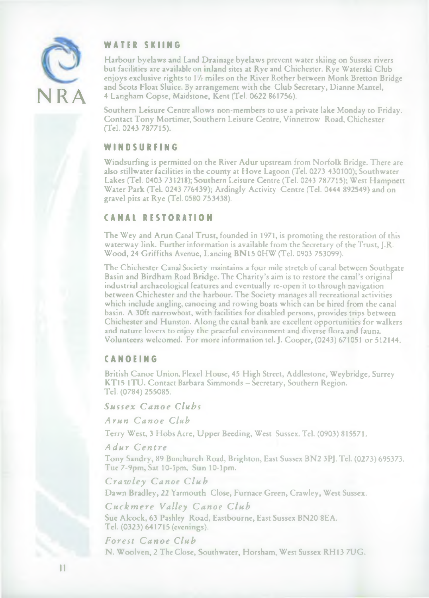

#### WATER SKIING

Harbour byelaws and Land Drainage byelaws prevent water skiing on Sussex rivers but facilities are available on inland sites at Rye and Chichester. Rye Waterski Club enjoys exclusive rights to 1<sup>1</sup>/<sub>2</sub> miles on the River Rother between Monk Bretton Bridge and Scots Float Sluice. By arrangement with the Club Secretary, Dianne Mantel, 4 Langham Copse, Maidstone, Kent (Tel. 0622 861756).

Southern Leisure Centre allows non-members to use a private lake Monday to Friday. Contact Tony Mortimer, Southern Leisure Centre, Vinnetrow Road, Chichester (Tel. 0243 787715).

#### **W IN D S UR F IN G**

Windsurfing is permitted on the River Adur upstream from Norfolk Bridge. There are also stillwater facilities in the county at Hove Lagoon (Tel. 0273 430100); Southwater Lakes (Tel. 0403 731218); Southern Leisure Centre (Tel. 0243 787715); West Hampnett Water Park (Tel. 0243 776439); Ardingly Activity Centre (Tel. 0444 892549) and on gravel pits at Rye (Tel. 0580 753438).

#### **CANAL RESTORATION**

The Wey and Arun Canal Trust, founded in 1971, is promoting the restoration of this waterway link. Further information is available from the Secretary of the Trust, J.R. Wood, 24 Griffiths Avenue, Lancing BN15 0HW (Tel. 0903 753099).

The Chichester Canal Society maintains a four mile stretch of canal between Southgate Basin and Birdham Road Bridge. The Charity's aim is to restore the canal's original industrial archaeological features and eventually re-open it to through navigation between Chichester and the harbour. The Society manages all recreational activities which include angling, canoeing and rowing boats which can be hired from the canal basin. A 30ft narrowboat, with facilities for disabled persons, provides trips between Chichester and Hunston. Along the canal bank are excellent opportunities for walkers and nature lovers to enjoy the peaceful environment and diverse flora and fauna. Volunteers welcomed. For more information tel. J. Cooper, (0243) 671051 or 512144.

#### **CANOE ING**

British Canoe Union, Flexel House, 45 High Street, Addlestone, Weybridge, Surrey KT15 ITU. Contact Barbara Simmonds - Secretary, Southern Region. Tel. (0784) 255085.

*Sussex Canoe Clubs*

*Arun Canoe Club*

Terry West, 3 Hobs Acre, Upper Beeding, West Sussex. Tel. (0903) 815571.

#### *Adur Centre*

Tony Sandry, 89 Bonchurch Road, Brighton, East Sussex BN2 3PJ. Tel. (0273) 695373. Tue 7-9pm, Sat 10-lpm, Sun 10-lpm.

*Crawley Canoe Club*

Dawn Bradley, 22 Yarmouth Close, Furnace Green, Crawley, West Sussex.

*Cuckmere Valley Canoe Club*

Sue Alcock, 63 Pashley Road, Eastbourne, East Sussex BN20 8EA. Tel. (0323) 641715 (evenings).

#### *Forest Canoe Club*

N. Woolven, 2 The Close, Southwater, Horsham, West Sussex RH13 7UG.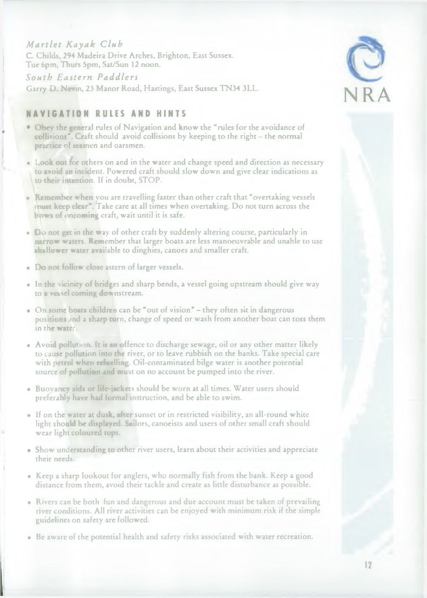#### *Martlet Kayak Club*

C. Childs, 294 Madeira Drive Arches, Brighton, East Sussex. Tue 6pm, Thurs 5pm, Sat/Sun 12 noon.

*South Eastern Paddlers* Garry D. Nevin, 23 Manor Road, Hastings, East Sussex TN34 3LL.

#### **NAV I GAT ION RULES AND HINTS**

- Obey the general rules of Navigation and know the " rules for the avoidance of collisions". Craft should avoid collisions by keeping to the right – the normal practice of seamen and oarsmen.
- Look out for others on and in the water and change speed and direction as necessary to avoid an incident. Powered craft should slow down and give clear indications as to their intention. If in doubt, STOP.
- Remember when you are travelling faster than other craft that "overtaking vessels must keep clear". Take care at all times when overtaking. Do not turn across the bows of oncoming craft, wait until it is safe.
- Do not get in the way of other craft by suddenly altering course, particularly in narrow waters. Remember that larger boats are less manoeuvrable and unable to use shallower water available to dinghies, canoes and smaller craft.
- Do not follow close astern of larger vessels.
- In the vicinity of bridges and sharp bends, a vessel going upstream should give way to a vessel coming downstream.
- On some boats children can be "out of vision" they often sit in dangerous positions and a sharp turn, change of speed or wash from another boat can toss them in the water.
- Avoid pollution. It is an offence to discharge sewage, oil or any other matter likely to cause pollution into the river, or to leave rubbish on the banks. Take special care with petrol when refuelling. Oil-contaminated bilge water is another potential source of pollution and must on no account be pumped into the river.
- Buoyancy aids or life-jackets should be worn at all times. Water users should preferably have had formal instruction, and be able to swim.
- If on the water at dusk, after sunset or in restricted visibility, an all-round white light should be displayed. Sailors, canoeists and users of other small craft should wear light coloured tops.
- Show understanding to other river users, learn about their activities and appreciate their needs.
- Keep a sharp lookout for anglers, who normally fish from the bank. Keep a good distance from them, avoid their tackle and create as little disturbance as possible.
- Rivers can be both fun and dangerous and due account must be taken of prevailing river conditions. All river activities can be enjoyed with minimum risk if the simple guidelines on safety are followed.
- Be aware of the potential health and safety risks associated with water recreation.

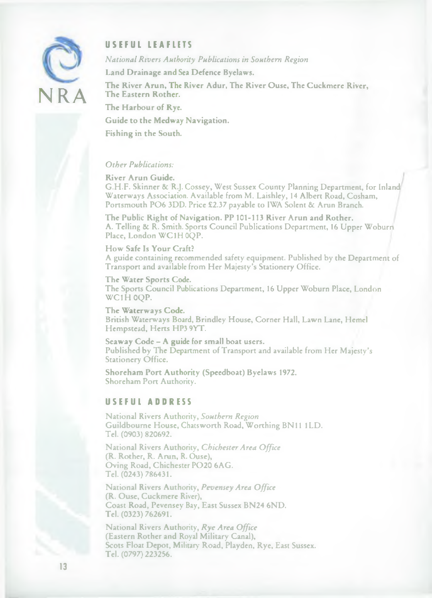

#### **USEFUL LEAFLETS**

*National Rivers Authority Publications in Southern Region*

Land Drainage and Sea Defence Byelaws.

The River Arun, The River Adur, The River Ouse, The Cuckmere River, The Eastern Rother.

The Harbour of Rye.

Guide to the Medway Navigation.

Fishing in the South.

#### *Other Publications:*

River Arun Guide. G.H.F. Skinner & R.J. Cossey, West Sussex County Planning Department, for Inland Waterways Association. Available from M. Laishley, 14 Albert Road, Cosham, Portsmouth PO6 3DD. Price £2.37 payable to IWA Solent & Arun Branch.

The Public Right of Navigation. PP 101-113 River Arun and Rother. A. Telling & R. Smith. Sports Council Publications Department, 16 Upper Woburn Place, London WC1H0QP.

How Safe Is Your Craft? A guide containing recommended safety equipment. Published by the Department of Transport and available from Her Majesty's Stationery Office.

The Water Sports Code. The Sports Council Publications Department, 16 Upper Woburn Place, London WC1H 0OP.

The Waterways Code. British Waterways Board, Brindley House, Corner Hall, Lawn Lane, Hemel Hempstead, Herts HP3 9YT.

Seaway Code - A guide for small boat users. Published by The Department of Transport and available from Her Majesty's Stationery Office.

Shoreham Port Authority (Speedboat) Byelaws 1972. Shoreham Port Authority.

#### **USEFUL ADDRESS**

National Rivers Authority, *Southern Region* Guildbourne House, Chatsworth Road, Worthing BN 11 1LD. Tel. (0903) 820692.

National Rivers Authority, *Chichester Area Office* (R. Rother, R. Arun, R. Ouse), Oving Road, Chichester P020 6AG. Tel. (0243) 786431.

National Rivers Authority, *Pevensey Area O ffice* (R. Ouse, Cuckmere River), Coast Road, Pevensey Bay, East Sussex BN24 6ND. Tel. (0323) 762691.

National Rivers Authority, Rye Area Office (Eastern Rother and Royal Military Canal), Scots Float Depot, Military Road, Playden, Rye, East Sussex. Tel. (0797) 223256.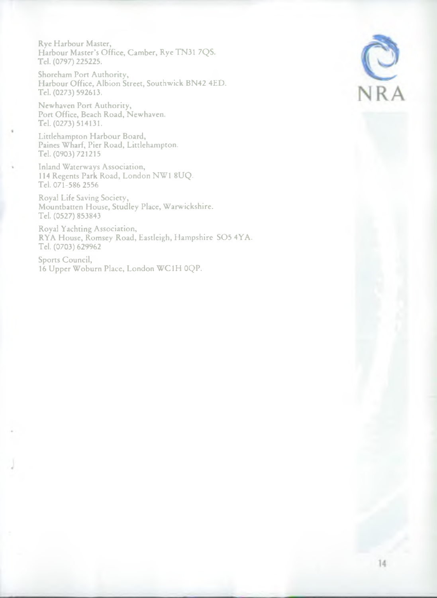Rye Harbour Master, Harbour Master's Office, Camber, Rye TN31 7QS. Tel. (0797) 225225.

Shoreham Port Authority, Harbour Office, Albion Street, Southwick BN42 4ED. Tel. (0273) 592613.

Newhaven Port Authority, Port Office, Beach Road, Newhaven. Tel. (0273) 514131.

Littlehampton Harbour Board, Paines Wharf, Pier Road, Littlehampton. Tel. (0903) 721215

Inland Waterways Association, 114 Regents Park Road, London NW1 8UQ. Tel. 071-586 2556

Royal Life Saving Society, Mountbatten House, Studley Place, Warwickshire. Tel. (0527) 853843

Royal Yachting Association, RYA House, Romsey Road, Eastleigh, Hampshire SO5 4YA. Tel. (0703) 629962

Sports Council, 16 Upper Woburn Place, London WC1H 0QP.